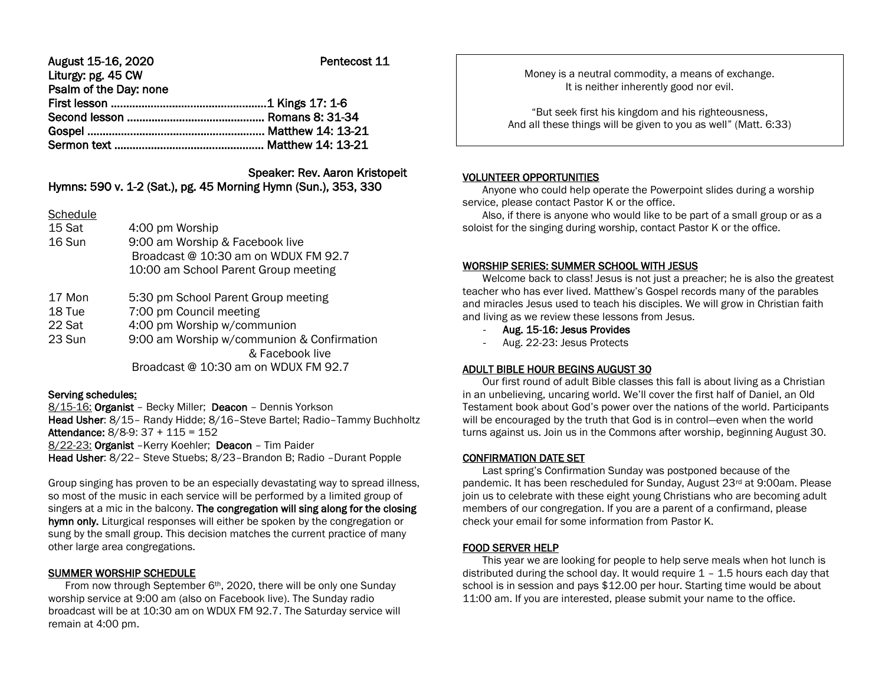| August 15-16, 2020     | Pentecost 11 |
|------------------------|--------------|
| Liturgy: pg. 45 CW     |              |
| Psalm of the Day: none |              |
|                        |              |
|                        |              |
|                        |              |
|                        |              |

# Speaker: Rev. Aaron Kristopeit

Hymns: 590 v. 1-2 (Sat.), pg. 45 Morning Hymn (Sun.), 353, 330

**Schedule** 

- 15 Sat 4:00 pm Worship 16 Sun 9:00 am Worship & Facebook live Broadcast @ 10:30 am on WDUX FM 92.7 10:00 am School Parent Group meeting
- 17 Mon 5:30 pm School Parent Group meeting
- 18 Tue 7:00 pm Council meeting
- 22 Sat 4:00 pm Worship w/communion
- 23 Sun 9:00 am Worship w/communion & Confirmation & Facebook live Broadcast @ 10:30 am on WDUX FM 92.7

## Serving schedules:

8/15-16: Organist – Becky Miller; Deacon – Dennis Yorkson Head Usher: 8/15– Randy Hidde; 8/16–Steve Bartel; Radio–Tammy Buchholtz Attendance: 8/8-9: 37 + 115 = 152

8/22-23: Organist - Kerry Koehler; Deacon - Tim Paider

Head Usher: 8/22– Steve Stuebs; 8/23–Brandon B; Radio –Durant Popple

Group singing has proven to be an especially devastating way to spread illness, so most of the music in each service will be performed by a limited group of singers at a mic in the balcony. The congregation will sing along for the closing hymn only. Liturgical responses will either be spoken by the congregation or sung by the small group. This decision matches the current practice of many other large area congregations.

## SUMMER WORSHIP SCHEDULE

From now through September 6<sup>th</sup>, 2020, there will be only one Sunday worship service at 9:00 am (also on Facebook live). The Sunday radio broadcast will be at 10:30 am on WDUX FM 92.7. The Saturday service will remain at 4:00 pm.

Money is a neutral commodity, a means of exchange. It is neither inherently good nor evil.

"But seek first his kingdom and his righteousness, And all these things will be given to you as well" (Matt. 6:33)

#### VOLUNTEER OPPORTUNITIES

Ι

 Anyone who could help operate the Powerpoint slides during a worship service, please contact Pastor K or the office.

 Also, if there is anyone who would like to be part of a small group or as a soloist for the singing during worship, contact Pastor K or the office.

## WORSHIP SERIES: SUMMER SCHOOL WITH JESUS

 Welcome back to class! Jesus is not just a preacher; he is also the greatest teacher who has ever lived. Matthew's Gospel records many of the parables and miracles Jesus used to teach his disciples. We will grow in Christian faith and living as we review these lessons from Jesus.

- Aug. 15-16: Jesus Provides
- Aug. 22-23: Jesus Protects

## ADULT BIBLE HOUR BEGINS AUGUST 30

 Our first round of adult Bible classes this fall is about living as a Christian in an unbelieving, uncaring world. We'll cover the first half of Daniel, an Old Testament book about God's power over the nations of the world. Participants will be encouraged by the truth that God is in control—even when the world turns against us. Join us in the Commons after worship, beginning August 30.

## CONFIRMATION DATE SET

 Last spring's Confirmation Sunday was postponed because of the pandemic. It has been rescheduled for Sunday, August 23rd at 9:00am. Please join us to celebrate with these eight young Christians who are becoming adult members of our congregation. If you are a parent of a confirmand, please check your email for some information from Pastor K.

## FOOD SERVER HELP

 This year we are looking for people to help serve meals when hot lunch is distributed during the school day. It would require  $1 - 1.5$  hours each day that school is in session and pays \$12.00 per hour. Starting time would be about 11:00 am. If you are interested, please submit your name to the office.